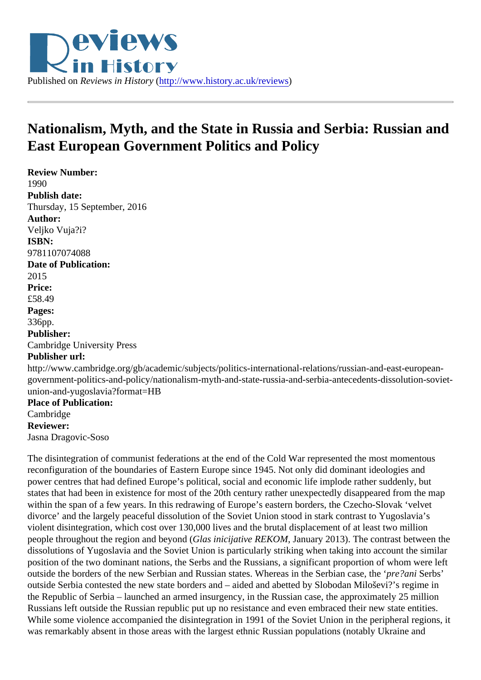## Nationalism, Myth, [and the State in Russ](http://www.history.ac.uk/reviews)ia and Serbia: Russian and East European Government Politics and Policy

Review Number: 1990 Publish date: Thursday, 15 September, 2016 Author: Veljko Vuja?i? ISBN: 9781107074088 Date of Publication: 2015 Price: £58.49 Pages: 336pp. Publisher: Cambridge University Press Publisher url: http://www.cambridge.org/gb/academic/subjects/politics-international-relations/russian-and-east-europeangovernment-politics-and-policy/nationalism-myth-and-state-russia-and-serbia-antecedents-dissolution-sovietunion-and-yugoslavia?format=HB Place of Publication: **Cambridge** Reviewer: Jasna Dragovic-Soso

The disintegration of communist federations at the end of the Cold War represented the most momentous reconfiguration of the boundaries of Eastern Europe since 1945. Not only did dominant ideologies and power centres that had defined Europe's political, social and economic life implode rather suddenly, but states that had been in existence for most of the 20th century rather unexpectedly disappeared from the map within the span of a few years. In this redrawing of Europe's eastern borders, the Czecho-Slovak 'velvet divorce' and the largely peaceful dissolution of the Soviet Union stood in stark contrast to Yugoslavia's violent disintegration, which cost over 130,000 lives and the brutal displacement of at least two million people throughout the region and beyoct inicijative REKOMJanuary 2013). The contrast between the dissolutions of Yugoslavia and the Soviet Union is particularly striking when taking into account the similar position of the two dominant nations, the Serbs and the Russians, a significant proportion of whom were left outside the borders of the new Serbian and Russian states. Whereas in the Serbian prasentifectos' outside Serbia contested the new state borders and – aided and abetted by Slobodan Miloševi?'s regime in the Republic of Serbia – launched an armed insurgency, in the Russian case, the approximately 25 million Russians left outside the Russian republic put up no resistance and even embraced their new state entities. While some violence accompanied the disintegration in 1991 of the Soviet Union in the peripheral regions, it was remarkably absent in those areas with the largest ethnic Russian populations (notably Ukraine and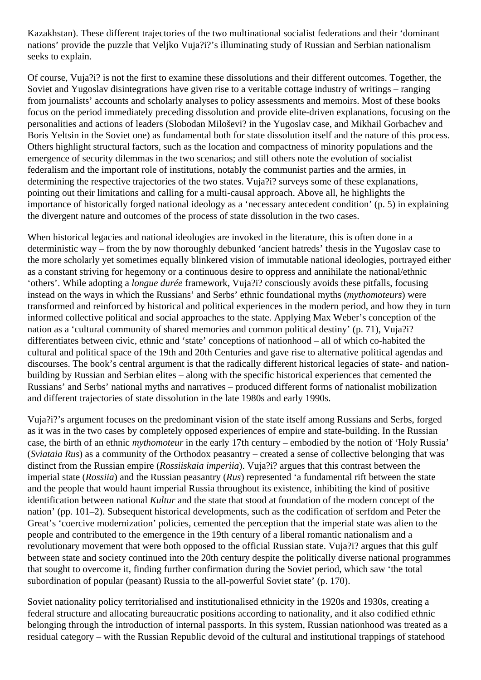Kazakhstan). These different trajectories of the two multinational socialist federations and their 'dominant nations' provide the puzzle that Veljko Vuja?i?'s illuminating study of Russian and Serbian nationalism seeks to explain.

Of course, Vuja?i? is not the first to examine these dissolutions and their different outcomes. Together, the Soviet and Yugoslav disintegrations have given rise to a veritable cottage industry of writings – ranging from journalists' accounts and scholarly analyses to policy assessments and memoirs. Most of these books focus on the period immediately preceding dissolution and provide elite-driven explanations, focusing on the personalities and actions of leaders (Slobodan Miloševi? in the Yugoslav case, and Mikhail Gorbachev and Boris Yeltsin in the Soviet one) as fundamental both for state dissolution itself and the nature of this process. Others highlight structural factors, such as the location and compactness of minority populations and the emergence of security dilemmas in the two scenarios; and still others note the evolution of socialist federalism and the important role of institutions, notably the communist parties and the armies, in determining the respective trajectories of the two states. Vuja?i? surveys some of these explanations, pointing out their limitations and calling for a multi-causal approach. Above all, he highlights the importance of historically forged national ideology as a 'necessary antecedent condition' (p. 5) in explaining the divergent nature and outcomes of the process of state dissolution in the two cases.

When historical legacies and national ideologies are invoked in the literature, this is often done in a deterministic way – from the by now thoroughly debunked 'ancient hatreds' thesis in the Yugoslav case to the more scholarly yet sometimes equally blinkered vision of immutable national ideologies, portrayed either as a constant striving for hegemony or a continuous desire to oppress and annihilate the national/ethnic 'others'. While adopting a *longue durée* framework, Vuja?i? consciously avoids these pitfalls, focusing instead on the ways in which the Russians' and Serbs' ethnic foundational myths (*mythomoteurs*) were transformed and reinforced by historical and political experiences in the modern period, and how they in turn informed collective political and social approaches to the state. Applying Max Weber's conception of the nation as a 'cultural community of shared memories and common political destiny' (p. 71), Vuja?i? differentiates between civic, ethnic and 'state' conceptions of nationhood – all of which co-habited the cultural and political space of the 19th and 20th Centuries and gave rise to alternative political agendas and discourses. The book's central argument is that the radically different historical legacies of state- and nationbuilding by Russian and Serbian elites – along with the specific historical experiences that cemented the Russians' and Serbs' national myths and narratives – produced different forms of nationalist mobilization and different trajectories of state dissolution in the late 1980s and early 1990s.

Vuja?i?'s argument focuses on the predominant vision of the state itself among Russians and Serbs, forged as it was in the two cases by completely opposed experiences of empire and state-building. In the Russian case, the birth of an ethnic *mythomoteur* in the early 17th century – embodied by the notion of 'Holy Russia' (*Sviataia Rus*) as a community of the Orthodox peasantry – created a sense of collective belonging that was distinct from the Russian empire (*Rossiiskaia imperiia*). Vuja?i? argues that this contrast between the imperial state (*Rossiia*) and the Russian peasantry (*Rus*) represented 'a fundamental rift between the state and the people that would haunt imperial Russia throughout its existence, inhibiting the kind of positive identification between national *Kultur* and the state that stood at foundation of the modern concept of the nation' (pp. 101–2). Subsequent historical developments, such as the codification of serfdom and Peter the Great's 'coercive modernization' policies, cemented the perception that the imperial state was alien to the people and contributed to the emergence in the 19th century of a liberal romantic nationalism and a revolutionary movement that were both opposed to the official Russian state. Vuja?i? argues that this gulf between state and society continued into the 20th century despite the politically diverse national programmes that sought to overcome it, finding further confirmation during the Soviet period, which saw 'the total subordination of popular (peasant) Russia to the all-powerful Soviet state' (p. 170).

Soviet nationality policy territorialised and institutionalised ethnicity in the 1920s and 1930s, creating a federal structure and allocating bureaucratic positions according to nationality, and it also codified ethnic belonging through the introduction of internal passports. In this system, Russian nationhood was treated as a residual category – with the Russian Republic devoid of the cultural and institutional trappings of statehood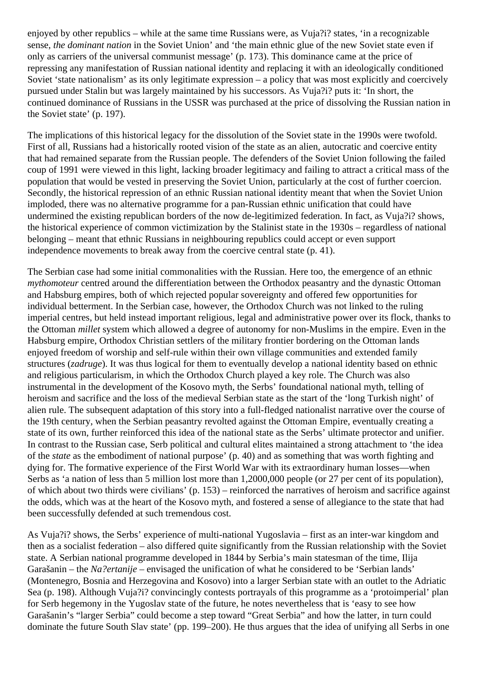enjoyed by other republics – while at the same time Russians were, as Vuja?i? states, 'in a recognizable sense, *the dominant nation* in the Soviet Union' and 'the main ethnic glue of the new Soviet state even if only as carriers of the universal communist message' (p. 173). This dominance came at the price of repressing any manifestation of Russian national identity and replacing it with an ideologically conditioned Soviet 'state nationalism' as its only legitimate expression – a policy that was most explicitly and coercively pursued under Stalin but was largely maintained by his successors. As Vuja?i? puts it: 'In short, the continued dominance of Russians in the USSR was purchased at the price of dissolving the Russian nation in the Soviet state' (p. 197).

The implications of this historical legacy for the dissolution of the Soviet state in the 1990s were twofold. First of all, Russians had a historically rooted vision of the state as an alien, autocratic and coercive entity that had remained separate from the Russian people. The defenders of the Soviet Union following the failed coup of 1991 were viewed in this light, lacking broader legitimacy and failing to attract a critical mass of the population that would be vested in preserving the Soviet Union, particularly at the cost of further coercion. Secondly, the historical repression of an ethnic Russian national identity meant that when the Soviet Union imploded, there was no alternative programme for a pan-Russian ethnic unification that could have undermined the existing republican borders of the now de-legitimized federation. In fact, as Vuja?i? shows, the historical experience of common victimization by the Stalinist state in the 1930s – regardless of national belonging – meant that ethnic Russians in neighbouring republics could accept or even support independence movements to break away from the coercive central state (p. 41).

The Serbian case had some initial commonalities with the Russian. Here too, the emergence of an ethnic *mythomoteur* centred around the differentiation between the Orthodox peasantry and the dynastic Ottoman and Habsburg empires, both of which rejected popular sovereignty and offered few opportunities for individual betterment. In the Serbian case, however, the Orthodox Church was not linked to the ruling imperial centres, but held instead important religious, legal and administrative power over its flock, thanks to the Ottoman *millet* system which allowed a degree of autonomy for non-Muslims in the empire. Even in the Habsburg empire, Orthodox Christian settlers of the military frontier bordering on the Ottoman lands enjoyed freedom of worship and self-rule within their own village communities and extended family structures (*zadruge*). It was thus logical for them to eventually develop a national identity based on ethnic and religious particularism, in which the Orthodox Church played a key role. The Church was also instrumental in the development of the Kosovo myth, the Serbs' foundational national myth, telling of heroism and sacrifice and the loss of the medieval Serbian state as the start of the 'long Turkish night' of alien rule. The subsequent adaptation of this story into a full-fledged nationalist narrative over the course of the 19th century, when the Serbian peasantry revolted against the Ottoman Empire, eventually creating a state of its own, further reinforced this idea of the national state as the Serbs' ultimate protector and unifier. In contrast to the Russian case, Serb political and cultural elites maintained a strong attachment to 'the idea of the *state* as the embodiment of national purpose' (p. 40) and as something that was worth fighting and dying for. The formative experience of the First World War with its extraordinary human losses—when Serbs as 'a nation of less than 5 million lost more than 1,2000,000 people (or 27 per cent of its population), of which about two thirds were civilians' (p. 153) – reinforced the narratives of heroism and sacrifice against the odds, which was at the heart of the Kosovo myth, and fostered a sense of allegiance to the state that had been successfully defended at such tremendous cost.

As Vuja?i? shows, the Serbs' experience of multi-national Yugoslavia – first as an inter-war kingdom and then as a socialist federation – also differed quite significantly from the Russian relationship with the Soviet state. A Serbian national programme developed in 1844 by Serbia's main statesman of the time, Ilija Garašanin – the *Na?ertanije* – envisaged the unification of what he considered to be 'Serbian lands' (Montenegro, Bosnia and Herzegovina and Kosovo) into a larger Serbian state with an outlet to the Adriatic Sea (p. 198). Although Vuja?i? convincingly contests portrayals of this programme as a 'protoimperial' plan for Serb hegemony in the Yugoslav state of the future, he notes nevertheless that is 'easy to see how Garašanin's "larger Serbia" could become a step toward "Great Serbia" and how the latter, in turn could dominate the future South Slav state' (pp. 199–200). He thus argues that the idea of unifying all Serbs in one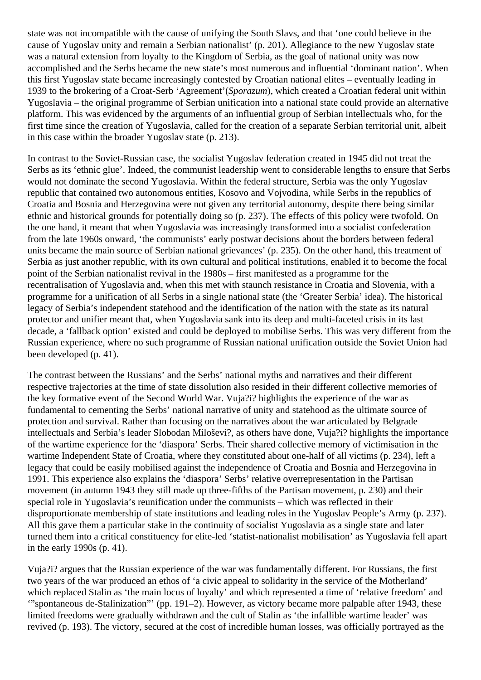state was not incompatible with the cause of unifying the South Slavs, and that 'one could believe in the cause of Yugoslav unity and remain a Serbian nationalist' (p. 201). Allegiance to the new Yugoslav state was a natural extension from loyalty to the Kingdom of Serbia, as the goal of national unity was now accomplished and the Serbs became the new state's most numerous and influential 'dominant nation'. When this first Yugoslav state became increasingly contested by Croatian national elites – eventually leading in 1939 to the brokering of a Croat-Serb 'Agreement'(*Sporazum*), which created a Croatian federal unit within Yugoslavia – the original programme of Serbian unification into a national state could provide an alternative platform. This was evidenced by the arguments of an influential group of Serbian intellectuals who, for the first time since the creation of Yugoslavia, called for the creation of a separate Serbian territorial unit, albeit in this case within the broader Yugoslav state (p. 213).

In contrast to the Soviet-Russian case, the socialist Yugoslav federation created in 1945 did not treat the Serbs as its 'ethnic glue'. Indeed, the communist leadership went to considerable lengths to ensure that Serbs would not dominate the second Yugoslavia. Within the federal structure, Serbia was the only Yugoslav republic that contained two autonomous entities, Kosovo and Vojvodina, while Serbs in the republics of Croatia and Bosnia and Herzegovina were not given any territorial autonomy, despite there being similar ethnic and historical grounds for potentially doing so (p. 237). The effects of this policy were twofold. On the one hand, it meant that when Yugoslavia was increasingly transformed into a socialist confederation from the late 1960s onward, 'the communists' early postwar decisions about the borders between federal units became the main source of Serbian national grievances' (p. 235). On the other hand, this treatment of Serbia as just another republic, with its own cultural and political institutions, enabled it to become the focal point of the Serbian nationalist revival in the 1980s – first manifested as a programme for the recentralisation of Yugoslavia and, when this met with staunch resistance in Croatia and Slovenia, with a programme for a unification of all Serbs in a single national state (the 'Greater Serbia' idea). The historical legacy of Serbia's independent statehood and the identification of the nation with the state as its natural protector and unifier meant that, when Yugoslavia sank into its deep and multi-faceted crisis in its last decade, a 'fallback option' existed and could be deployed to mobilise Serbs. This was very different from the Russian experience, where no such programme of Russian national unification outside the Soviet Union had been developed (p. 41).

The contrast between the Russians' and the Serbs' national myths and narratives and their different respective trajectories at the time of state dissolution also resided in their different collective memories of the key formative event of the Second World War. Vuja?i? highlights the experience of the war as fundamental to cementing the Serbs' national narrative of unity and statehood as the ultimate source of protection and survival. Rather than focusing on the narratives about the war articulated by Belgrade intellectuals and Serbia's leader Slobodan Miloševi?, as others have done, Vuja?i? highlights the importance of the wartime experience for the 'diaspora' Serbs. Their shared collective memory of victimisation in the wartime Independent State of Croatia, where they constituted about one-half of all victims (p. 234), left a legacy that could be easily mobilised against the independence of Croatia and Bosnia and Herzegovina in 1991. This experience also explains the 'diaspora' Serbs' relative overrepresentation in the Partisan movement (in autumn 1943 they still made up three-fifths of the Partisan movement, p. 230) and their special role in Yugoslavia's reunification under the communists – which was reflected in their disproportionate membership of state institutions and leading roles in the Yugoslav People's Army (p. 237). All this gave them a particular stake in the continuity of socialist Yugoslavia as a single state and later turned them into a critical constituency for elite-led 'statist-nationalist mobilisation' as Yugoslavia fell apart in the early 1990s (p. 41).

Vuja?i? argues that the Russian experience of the war was fundamentally different. For Russians, the first two years of the war produced an ethos of 'a civic appeal to solidarity in the service of the Motherland' which replaced Stalin as 'the main locus of loyalty' and which represented a time of 'relative freedom' and '"spontaneous de-Stalinization"' (pp. 191–2). However, as victory became more palpable after 1943, these limited freedoms were gradually withdrawn and the cult of Stalin as 'the infallible wartime leader' was revived (p. 193). The victory, secured at the cost of incredible human losses, was officially portrayed as the